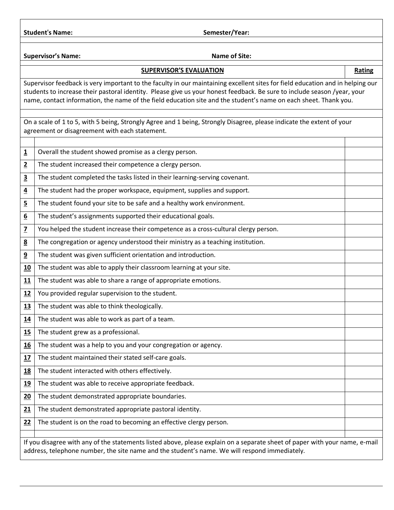**Studenths Name: Semester/Year:** 

**Supervisor's Name:** Name of Site:

 $\overline{\mathbf{r}}$ 

## **SUPERVISOR'S EVALUATION Rating**

Supervisor feedback is very important to the faculty in our maintaining excellent sites for field education and in helping our students to increase their pastoral identity. Please give us your honest feedback. Be sure to include season /year, your name, contact information, the name of the field education site and the student's name on each sheet. Thank you.

On a scale of 1 to 5, with 5 being, Strongly Agree and 1 being, Strongly Disagree, please indicate the extent of your agreement or disagreement with each statement.

| $\overline{\mathbf{1}}$ | Overall the student showed promise as a clergy person.                                                                      |  |  |
|-------------------------|-----------------------------------------------------------------------------------------------------------------------------|--|--|
| $\overline{2}$          | The student increased their competence a clergy person.                                                                     |  |  |
| $\overline{\mathbf{3}}$ | The student completed the tasks listed in their learning-serving covenant.                                                  |  |  |
| $\overline{4}$          | The student had the proper workspace, equipment, supplies and support.                                                      |  |  |
| $\overline{5}$          | The student found your site to be safe and a healthy work environment.                                                      |  |  |
| $\underline{6}$         | The student's assignments supported their educational goals.                                                                |  |  |
| $\overline{z}$          | You helped the student increase their competence as a cross-cultural clergy person.                                         |  |  |
| 8                       | The congregation or agency understood their ministry as a teaching institution.                                             |  |  |
| $\overline{9}$          | The student was given sufficient orientation and introduction.                                                              |  |  |
| 10                      | The student was able to apply their classroom learning at your site.                                                        |  |  |
| 11                      | The student was able to share a range of appropriate emotions.                                                              |  |  |
| 12                      | You provided regular supervision to the student.                                                                            |  |  |
| 13                      | The student was able to think theologically.                                                                                |  |  |
| 14                      | The student was able to work as part of a team.                                                                             |  |  |
| 15                      | The student grew as a professional.                                                                                         |  |  |
| <u>16</u>               | The student was a help to you and your congregation or agency.                                                              |  |  |
| 17                      | The student maintained their stated self-care goals.                                                                        |  |  |
| 18                      | The student interacted with others effectively.                                                                             |  |  |
| <u>19</u>               | The student was able to receive appropriate feedback.                                                                       |  |  |
| 20                      | The student demonstrated appropriate boundaries.                                                                            |  |  |
| 21                      | The student demonstrated appropriate pastoral identity.                                                                     |  |  |
| 22                      | The student is on the road to becoming an effective clergy person.                                                          |  |  |
|                         |                                                                                                                             |  |  |
|                         | If you disagree with any of the statements listed above, please explain on a separate sheet of paper with your name, e-mail |  |  |
|                         | address, telephone number, the site name and the student's name. We will respond immediately.                               |  |  |